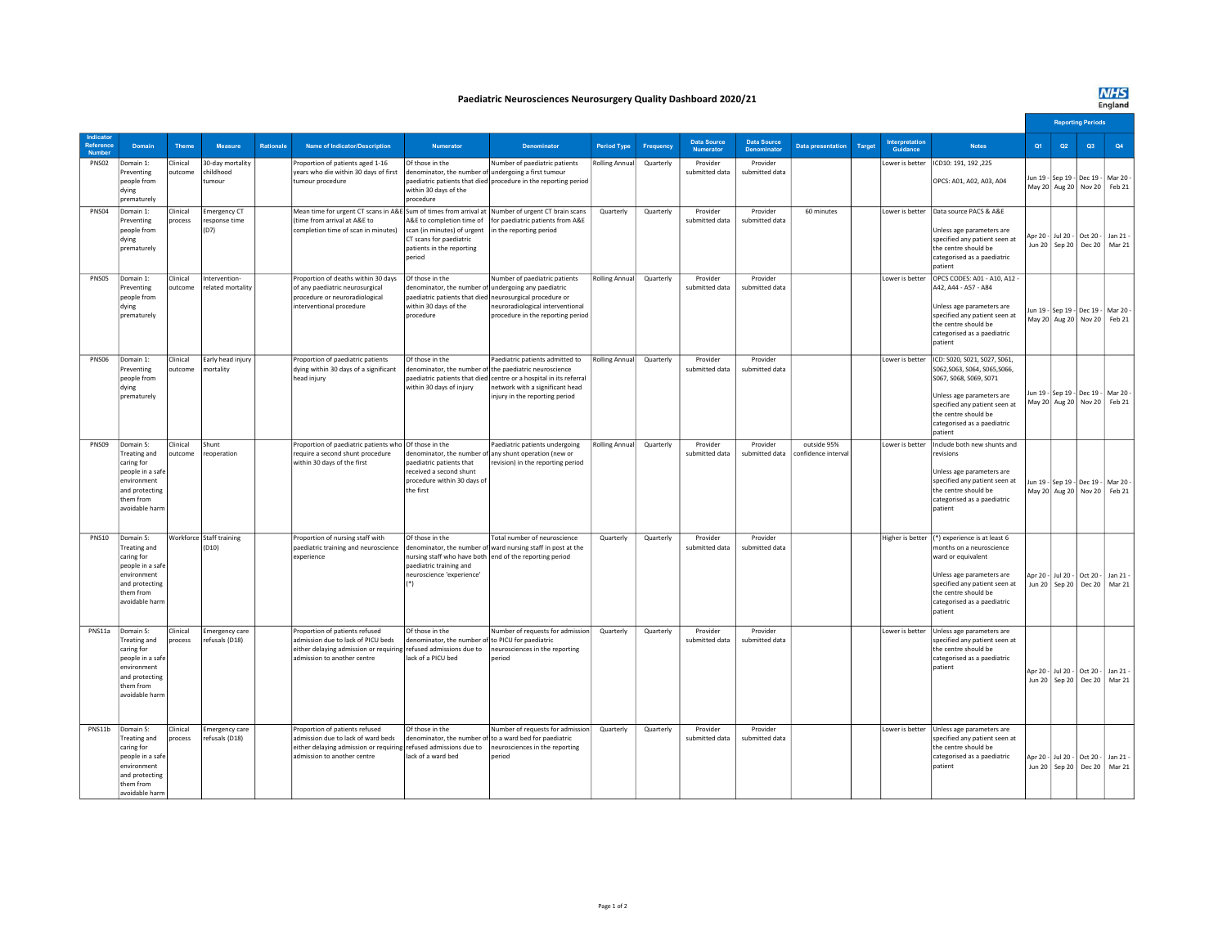## **NHS**<br>England

## Paediatric Neurosciences Neurosurgery Quality Dashboard 2020/21

|                     |                                                                                                                                    |                     |                                                |           |                                                                                                                                                                          |                                                                                                               |                                                                                                                                                                                                                                     |                    |           |                                 |                                          |                                    |        |                            |                                                                                                                                                                                                                         |    | <b>Reporting Periods</b> |                                                                          |                 |  |
|---------------------|------------------------------------------------------------------------------------------------------------------------------------|---------------------|------------------------------------------------|-----------|--------------------------------------------------------------------------------------------------------------------------------------------------------------------------|---------------------------------------------------------------------------------------------------------------|-------------------------------------------------------------------------------------------------------------------------------------------------------------------------------------------------------------------------------------|--------------------|-----------|---------------------------------|------------------------------------------|------------------------------------|--------|----------------------------|-------------------------------------------------------------------------------------------------------------------------------------------------------------------------------------------------------------------------|----|--------------------------|--------------------------------------------------------------------------|-----------------|--|
| Reference<br>Number | Domain                                                                                                                             | Theme               | Measure                                        | Rationale | <b>Name of Indicator/Description</b>                                                                                                                                     | <b>Numerator</b>                                                                                              | <b>Denominator</b>                                                                                                                                                                                                                  | <b>Period Type</b> | Frequency | <b>Data Source</b><br>Numerator | <b>Data Source</b><br><b>Denominator</b> | <b>Data presentation</b>           | Target | Interpretation<br>Guidance | <b>Notes</b>                                                                                                                                                                                                            | Q1 | Q <sub>2</sub>           | Q3                                                                       | Q4              |  |
| PNS02               | Domain 1:<br>Preventing<br>people from<br>dying<br>prematurely                                                                     | Clinical<br>outcome | 30-day mortality<br>childhood<br>tumour        |           | Proportion of patients aged 1-16<br>years who die within 30 days of first<br>tumour procedure                                                                            | Of those in the<br>denominator, the number of undergoing a first tumour<br>within 30 days of the<br>procedure | Number of paediatric patients<br>paediatric patients that died procedure in the reporting period                                                                                                                                    | Rolling Annua      | Quarterly | Provider<br>submitted data      | Provider<br>submitted data               |                                    |        | Lower is better            | ICD10: 191, 192, 225<br>OPCS: A01, A02, A03, A04                                                                                                                                                                        |    |                          | Jun 19 - Sep 19 - Dec 19 - Mar 20<br>May 20 Aug 20 Nov 20 Feb 21         |                 |  |
| PNS04               | Domain 1:<br>Preventing<br>people from<br>dying<br>prematurely                                                                     | Clinical<br>process | Emergency CT<br>response time<br>(D7)          |           | Mean time for urgent CT scans in A&E Sum of times from arrival at Number of urgent CT brain scans<br>(time from arrival at A&E to<br>completion time of scan in minutes) | scan (in minutes) of urgent<br>CT scans for paediatric<br>patients in the reporting<br>period                 | A&E to completion time of   for paediatric patients from A&E<br>in the reporting period                                                                                                                                             | Quarterly          | Quarterly | Provider<br>submitted data      | Provider<br>submitted data               | 60 minutes                         |        |                            | Lower is better   Data source PACS & A&E<br>Unless age parameters are<br>specified any patient seen at<br>the centre should be<br>categorised as a paediatric<br>patient                                                |    |                          | Apr 20 - Jul 20 - Oct 20 - Jan 21 -<br>Jun 20 Sep 20 Dec 20 Mar 21       |                 |  |
| PNS05               | Domain 1:<br>Preventing<br>people from<br>dying<br>prematurely                                                                     | Clinical<br>outcome | Intervention-<br>related mortality             |           | Proportion of deaths within 30 days<br>of any paediatric neurosurgical<br>procedure or neuroradiological<br>interventional procedure                                     | Of those in the<br>denominator, the number of undergoing any paediatric<br>within 30 days of the<br>procedure | Number of paediatric patients<br>paediatric patients that died neurosurgical procedure or<br>neuroradiological interventional<br>procedure in the reporting period                                                                  | Rolling Annual     | Quarterly | Provider<br>submitted data      | Provider<br>submitted data               |                                    |        | Lower is better            | OPCS CODES: A01 - A10, A12 -<br>A42, A44 - A57 - A84<br>Unless age parameters are<br>specified any patient seen at<br>the centre should be<br>categorised as a paediatric<br>patient                                    |    |                          | un 19 - Sep 19 - Dec 19 - Mar 20<br>May 20 Aug 20 Nov 20 Feb 21          |                 |  |
| <b>PNS06</b>        | Domain 1:<br>Preventing<br>people from<br>dvine<br>prematurely                                                                     | Clinical<br>outcome | Early head injury<br>mortality                 |           | Proportion of paediatric patients<br>dying within 30 days of a significant<br>head injury                                                                                | Of those in the<br>within 30 days of injury                                                                   | Paediatric patients admitted to<br>enominator, the number of the paediatric neuroscience<br>paediatric patients that died centre or a hospital in its referral<br>network with a significant head<br>injury in the reporting period | Rolling Annual     | Quarterly | Provider<br>submitted data      | Provider<br>submitted data               |                                    |        | Lower is better            | ICD: S020, S021, S027, S061,<br>S062, S063, S064, S065, S066,<br>S067, S068, S069, S071<br>Unless age parameters are<br>specified any patient seen at<br>the centre should be<br>categorised as a paediatric<br>patient |    |                          | Jun 19 - Sep 19 - Dec 19 - Mar 20<br>May 20 Aug 20 Nov 20 Feb 21         |                 |  |
| PNS09               | Domain 5:<br><b>Treating and</b><br>caring for<br>people in a safe<br>environment<br>and protecting<br>them from<br>avoidable harn | Clinical<br>outcome | Shunt<br>reoperation                           |           | Proportion of paediatric patients who Of those in the<br>require a second shunt procedure<br>within 30 days of the first                                                 | paediatric patients that<br>received a second shunt<br>procedure within 30 days of<br>the first               | Paediatric patients undergoing<br>denominator, the number of any shunt operation (new or<br>revision) in the reporting period                                                                                                       | Rolling Annual     | Quarterly | Provider<br>submitted data      | Provider<br>submitted data               | outside 95%<br>confidence interval |        | Lower is better            | Include both new shunts and<br>revisions<br>Unless age parameters are<br>specified any patient seen at<br>the centre should be<br>categorised as a paediatric<br>patient                                                |    |                          | Iun 19 - Sep 19 - Dec 19 - Mar 20<br>May 20 Aug 20 Nov 20 Feb 21         |                 |  |
| <b>PNS10</b>        | Domain 5:<br>Treating and<br>caring for<br>people in a safe<br>environment<br>and protecting<br>them from<br>avoidable harm        |                     | Workforce Staff training<br>(D <sub>10</sub> ) |           | Proportion of nursing staff with<br>paediatric training and neuroscience<br>experience                                                                                   | Of those in the<br>paediatric training and<br>neuroscience 'experience'<br>$(*)$                              | Total number of neuroscience<br>denominator, the number of ward nursing staff in post at the<br>nursing staff who have both end of the reporting period                                                                             | Quarterly          | Quarterly | Provider<br>submitted data      | Provider<br>submitted data               |                                    |        | Higher is better           | (*) experience is at least 6<br>nonths on a neuroscience<br>ward or equivalent<br>Unless age parameters are<br>specified any patient seen at<br>the centre should be<br>categorised as a paediatric<br>patient          |    |                          | Apr 20 - Jul 20 - Oct 20 - Jan 21 -<br>Jun 20   Sep 20   Dec 20   Mar 21 |                 |  |
| PNS11a              | Domain 5:<br>Treating and<br>caring for<br>people in a safe<br>environment<br>and protecting<br>them from<br>avoidable harm        | Clinical<br>process | <b>Emergency care</b><br>refusals (D18)        |           | Proportion of patients refused<br>admission due to lack of PICU beds<br>either delaying admission or requiring refused admissions due to<br>admission to another centre  | Of those in the<br>denominator, the number of to PICU for paediatric<br>lack of a PICU bed                    | Number of requests for admission<br>neurosciences in the reporting<br>period                                                                                                                                                        | Quarterly          | Quarterly | Provider<br>submitted data      | Provider<br>submitted data               |                                    |        | Lower is better            | Unless age parameters are<br>specified any patient seen at<br>the centre should be<br>categorised as a paediatric<br>patient                                                                                            |    | Jun 20   Sep 20          | Apr 20 - Jul 20 - Oct 20 - Jan 21 -                                      | Dec 20   Mar 21 |  |
| PNS11b              | Domain 5:<br>Treating and<br>caring for<br>people in a safe<br>environment<br>and protecting<br>them from<br>avoidable harm        | Clinical<br>process | <b>Emergency care</b><br>refusals (D18)        |           | Proportion of patients refused<br>admission due to lack of ward beds<br>either delaying admission or requiring refused admissions due to<br>admission to another centre  | Of those in the<br>lack of a ward bed                                                                         | Number of requests for admission<br>denominator, the number of to a ward bed for paediatric<br>neurosciences in the reporting<br>period                                                                                             | Quarterly          | Quarterly | Provider<br>submitted data      | Provider<br>submitted data               |                                    |        | Lower is better            | Unless age parameters are<br>specified any patient seen at<br>the centre should be<br>categorised as a paediatric<br>patient                                                                                            |    | Jun 20   Sep 20          | Apr 20 - Jul 20 - Oct 20 - Jan 21 -                                      | Dec 20   Mar 21 |  |